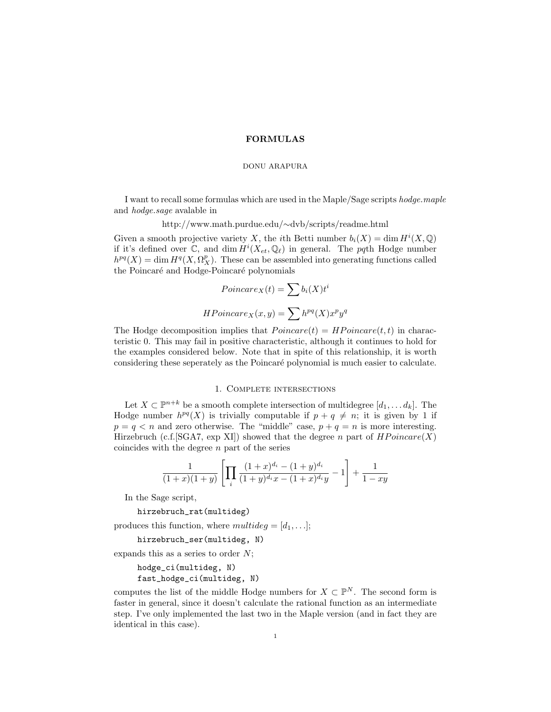## FORMULAS

## DONU ARAPURA

I want to recall some formulas which are used in the Maple/Sage scripts hodge.maple and hodge.sage avalable in

http://www.math.purdue.edu/∼dvb/scripts/readme.html

Given a smooth projective variety X, the *i*th Betti number  $b_i(X) = \dim H^i(X, \mathbb{Q})$ if it's defined over  $\mathbb{C}$ , and  $\dim H^i(X_{et}, \mathbb{Q}_\ell)$  in general. The pqth Hodge number  $h^{pq}(X) = \dim H^q(X, \Omega_X^p)$ . These can be assembled into generating functions called the Poincaré and Hodge-Poincaré polynomials

$$
Poincare_X(t) = \sum b_i(X)t^i
$$

$$
HPoincare_X(x, y) = \sum h^{pq}(X)x^p y^q
$$

The Hodge decomposition implies that  $Poincare(t) = HPoincare(t, t)$  in characteristic 0. This may fail in positive characteristic, although it continues to hold for the examples considered below. Note that in spite of this relationship, it is worth considering these seperately as the Poincar´e polynomial is much easier to calculate.

## 1. Complete intersections

Let  $X \subset \mathbb{P}^{n+k}$  be a smooth complete intersection of multidegree  $[d_1, \ldots, d_k]$ . The Hodge number  $h^{pq}(X)$  is trivially computable if  $p + q \neq n$ ; it is given by 1 if  $p = q < n$  and zero otherwise. The "middle" case,  $p + q = n$  is more interesting. Hirzebruch (c.f. [SGA7, exp XI]) showed that the degree n part of  $HPoincare(X)$ coincides with the degree  $n$  part of the series

$$
\frac{1}{(1+x)(1+y)}\left[\prod_{i}\frac{(1+x)^{d_i}-(1+y)^{d_i}}{(1+y)^{d_i}x-(1+x)^{d_i}y}-1\right]+\frac{1}{1-xy}
$$

In the Sage script,

hirzebruch\_rat(multideg)

produces this function, where  $multideg = [d_1, \ldots]$ ;

hirzebruch\_ser(multideg, N)

expands this as a series to order  $N$ ;

```
hodge_ci(multideg, N)
fast_hodge_ci(multideg, N)
```
computes the list of the middle Hodge numbers for  $X \subset \mathbb{P}^N$ . The second form is faster in general, since it doesn't calculate the rational function as an intermediate step. I've only implemented the last two in the Maple version (and in fact they are identical in this case).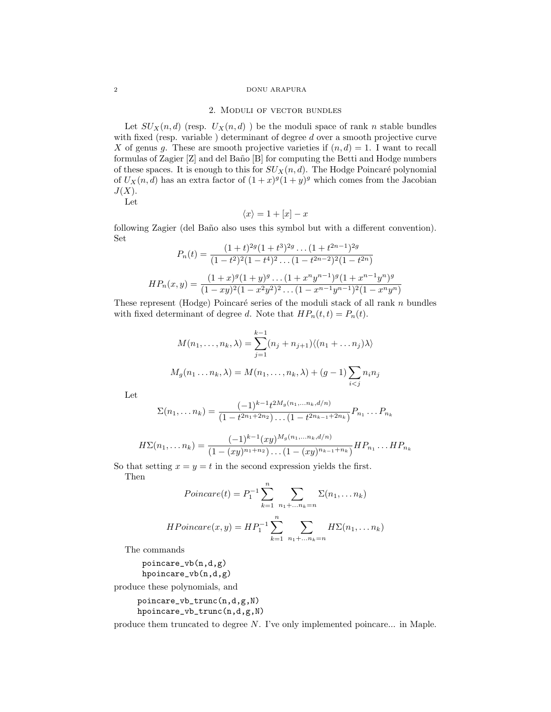#### 2 DONU ARAPURA

### 2. Moduli of vector bundles

Let  $SU_X(n,d)$  (resp.  $U_X(n,d)$ ) be the moduli space of rank n stable bundles with fixed (resp. variable) determinant of degree d over a smooth projective curve X of genus g. These are smooth projective varieties if  $(n, d) = 1$ . I want to recall formulas of Zagier  $[Z]$  and del Baño  $[B]$  for computing the Betti and Hodge numbers of these spaces. It is enough to this for  $SU_X(n, d)$ . The Hodge Poincaré polynomial of  $U_X(n, d)$  has an extra factor of  $(1+x)^g(1+y)^g$  which comes from the Jacobian  $J(X)$ .

Let

$$
\langle x \rangle = 1 + [x] - x
$$

following Zagier (del Baño also uses this symbol but with a different convention). Set  $22964$  $\overline{a}$ .

$$
P_n(t) = \frac{(1+t)^{2g}(1+t^3)^{2g}\dots(1+t^{2n-1})^{2g}}{(1-t^2)^2(1-t^4)^2\dots(1-t^{2n-2})^2(1-t^{2n})}
$$

$$
HP_n(x,y) = \frac{(1+x)^g(1+y)^g\dots(1+x^ny^{n-1})^g(1+x^{n-1}y^n)^g}{(1-xy)^2(1-x^2y^2)^2\dots(1-x^{n-1}y^{n-1})^2(1-x^ny^n)}
$$

These represent (Hodge) Poincaré series of the moduli stack of all rank  $n$  bundles with fixed determinant of degree d. Note that  $HP_n(t, t) = P_n(t)$ .

$$
M(n_1, \ldots, n_k, \lambda) = \sum_{j=1}^{k-1} (n_j + n_{j+1}) \langle (n_1 + \ldots n_j) \lambda \rangle
$$
  

$$
M_g(n_1 \ldots n_k, \lambda) = M(n_1, \ldots, n_k, \lambda) + (g - 1) \sum_{i < j} n_i n_j
$$

Let

$$
\Sigma(n_1,\ldots n_k) = \frac{(-1)^{k-1} t^{2M_g(n_1,\ldots n_k, d/n)}}{(1 - t^{2n_1 + 2n_2}) \ldots (1 - t^{2n_{k-1} + 2n_k})} P_{n_1} \ldots P_{n_k}
$$

$$
H\Sigma(n_1,\ldots n_k) = \frac{(-1)^{k-1}(xy)^{M_g(n_1,\ldots n_k,d/n)}}{(1-(xy)^{n_1+n_2})\ldots(1-(xy)^{n_{k-1}+n_k})}HP_{n_1}\ldots HP_{n_k}
$$

So that setting  $x = y = t$  in the second expression yields the first. Then

Poincare(t) = 
$$
P_1^{-1} \sum_{k=1}^{n} \sum_{n_1 + ... n_k = n} \Sigma(n_1, ... n_k)
$$

$$
HPoincare(x,y) = HP_1^{-1} \sum_{k=1}^n \sum_{n_1 + \ldots n_k = n} H\Sigma(n_1, \ldots n_k)
$$

The commands

poincare\_vb(n,d,g) hpoincare\_vb(n,d,g)

produce these polynomials, and

poincare\_vb\_trunc(n,d,g,N) hpoincare\_vb\_trunc(n,d,g,N)

produce them truncated to degree N. I've only implemented poincare... in Maple.